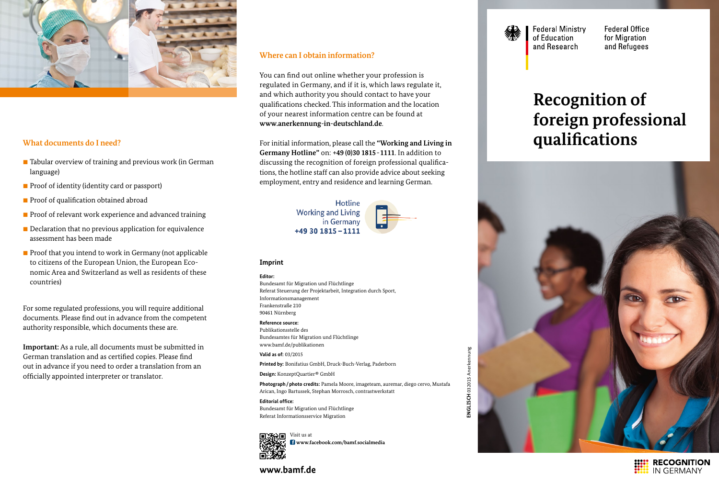

- $\blacksquare$  Tabular overview of training and previous work (in German language)
- $\blacksquare$  Proof of identity (identity card or passport)
- Proof of qualification obtained abroad
- $\blacksquare$  Proof of relevant work experience and advanced training
- $\blacksquare$  Declaration that no previous application for equivalence assessment has been made
- $\blacksquare$  Proof that you intend to work in Germany (not applicable to citizens of the European Union, the European Economic Area and Switzerland as well as residents of these countries)

For some regulated professions, you will require additional documents. Please find out in advance from the competent authority responsible, which documents these are.

**Important:** As a rule, all documents must be submitted in German translation and as certified copies. Please find out in advance if you need to order a translation from an officially appointed interpreter or translator.

### **Where can I obtain information?**

You can find out online whether your profession is regulated in Germany, and if it is, which laws regulate it, and which authority you should contact to have your qualifications checked. This information and the location of your nearest information centre can be found at **[www.anerkennung-in-deutschland.de](http://www.anerkennung-in-deutschland.de)**.

For initial information, please call the **"Working and Living in Germany Hotline"** on: **+49 (0)30 1815-1111**. In addition to discussing the recognition of foreign professional qualifications, the hotline staff can also provide advice about seeking employment, entry and residence and learning German.

> Hotline **Working and Living** in Germany +49 30 1815 - 1111

#### **Imprint**

**Editor:** Bundesamt für Migration und Flüchtlinge Referat Steuerung der Projektarbeit, Integration durch Sport, Informationsmanagement Frankenstraße 210 90461 Nürnberg

**Reference source:** Publikationsstelle des Bundesamtes für Migration und Flüchtlinge [www.bamf.de/publikationen](http://www.bamf.de/publikationen)

**Valid as of:** 03/2015

**Printed by:** Bonifatius GmbH, Druck-Buch-Verlag, Paderborn

**Design:** KonzeptQuartier® GmbH

**Photograph/photo credits:** Pamela Moore, imageteam, auremar, diego cervo, Mustafa Arican, Ingo Bartussek, Stephan Morrosch, contrastwerkstatt

**Editorial office:**  Bundesamt für Migration und Flüchtlinge Referat Informationsservice Migration



**[www.facebook.com/bamf.socialmedia](http://www.facebook.com/bamf.socialmedia)**

**[www.bamf.de](http://www.bamf.de)**



**Federal Office Federal Ministry** for Migration and Refugees

# **Recognition of foreign professional What documents do I need? and I need?** *Por initial information, please call the "Working and Living in* **<b>qualifications**



**RECOGNITION IN GERMANY**